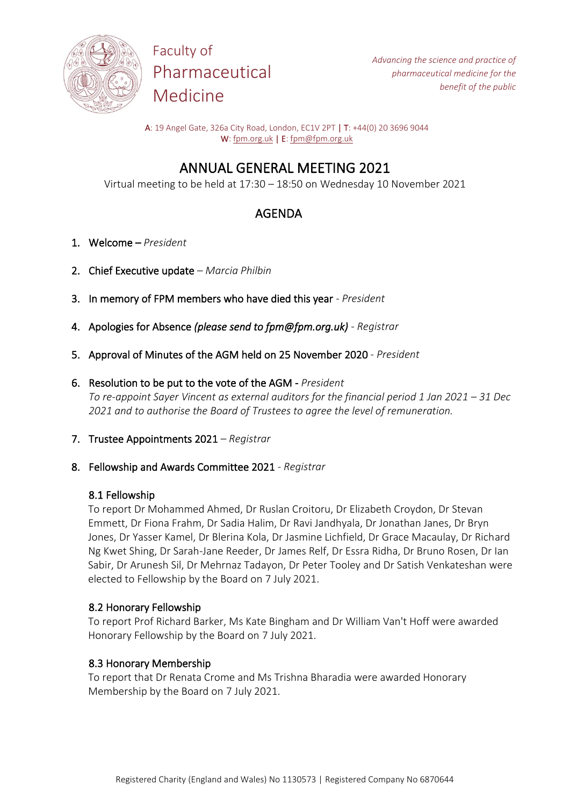

Faculty of Pharmaceutical Medicine

A: 19 Angel Gate, 326a City Road, London, EC1V 2PT | T: +44(0) 20 3696 9044 W[: fpm.org.uk](https://www.fpm.org.uk/) | E[: fpm@fpm.org.uk](mailto:fpm@fpm.org.uk)

# ANNUAL GENERAL MEETING 2021

Virtual meeting to be held at 17:30 – 18:50 on Wednesday 10 November 2021

# AGENDA

- 1. Welcome *President*
- 2. Chief Executive update *Marcia Philbin*
- 3. In memory of FPM members who have died this year *President*
- 4. Apologies for Absence *(please send to fpm@fpm.org.uk) - Registrar*
- 5. Approval of Minutes of the AGM held on 25 November 2020 *President*
- 6. Resolution to be put to the vote of the AGM *President To re-appoint Sayer Vincent as external auditors for the financial period 1 Jan 2021 – 31 Dec 2021 and to authorise the Board of Trustees to agree the level of remuneration.*
- 7. Trustee Appointments 2021 *Registrar*
- 8. Fellowship and Awards Committee 2021 *Registrar*

## 8.1 Fellowship

To report Dr Mohammed Ahmed, Dr Ruslan Croitoru, Dr Elizabeth Croydon, Dr Stevan Emmett, Dr Fiona Frahm, Dr Sadia Halim, Dr Ravi Jandhyala, Dr Jonathan Janes, Dr Bryn Jones, Dr Yasser Kamel, Dr Blerina Kola, Dr Jasmine Lichfield, Dr Grace Macaulay, Dr Richard Ng Kwet Shing, Dr Sarah-Jane Reeder, Dr James Relf, Dr Essra Ridha, Dr Bruno Rosen, Dr Ian Sabir, Dr Arunesh Sil, Dr Mehrnaz Tadayon, Dr Peter Tooley and Dr Satish Venkateshan were elected to Fellowship by the Board on 7 July 2021.

## 8.2 Honorary Fellowship

To report Prof Richard Barker, Ms Kate Bingham and Dr William Van't Hoff were awarded Honorary Fellowship by the Board on 7 July 2021.

## 8.3 Honorary Membership

To report that Dr Renata Crome and Ms Trishna Bharadia were awarded Honorary Membership by the Board on 7 July 2021.